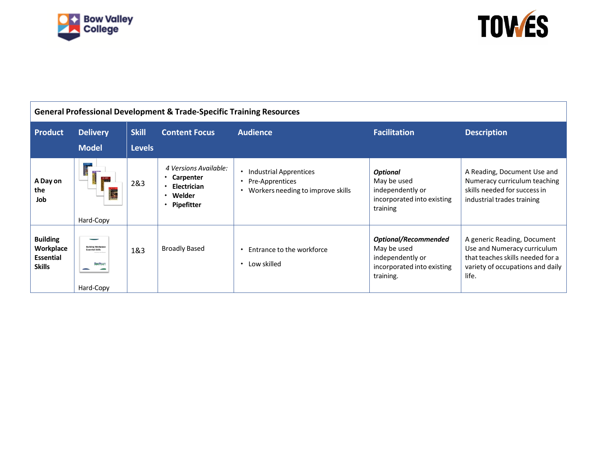



| <b>General Professional Development &amp; Trade-Specific Training Resources</b> |                                                                  |               |                                                                                               |                                                                                          |                                                                                                           |                                                                                                                                             |  |  |  |  |
|---------------------------------------------------------------------------------|------------------------------------------------------------------|---------------|-----------------------------------------------------------------------------------------------|------------------------------------------------------------------------------------------|-----------------------------------------------------------------------------------------------------------|---------------------------------------------------------------------------------------------------------------------------------------------|--|--|--|--|
| <b>Product</b>                                                                  | <b>Delivery</b>                                                  | <b>Skill</b>  | <b>Content Focus</b>                                                                          | <b>Audience</b>                                                                          | <b>Facilitation</b>                                                                                       | <b>Description</b>                                                                                                                          |  |  |  |  |
|                                                                                 | <b>Model</b>                                                     | <b>Levels</b> |                                                                                               |                                                                                          |                                                                                                           |                                                                                                                                             |  |  |  |  |
| A Day on<br>the<br>Job                                                          | Hard-Copy                                                        | 2&3           | 4 Versions Available:<br>• Carpenter<br>$\cdot$ Electrician<br>• Welder<br>$\cdot$ Pipefitter | Industrial Apprentices<br>Pre-Apprentices<br>٠<br>Workers needing to improve skills<br>٠ | <b>Optional</b><br>May be used<br>independently or<br>incorporated into existing<br>training              | A Reading, Document Use and<br>Numeracy curriculum teaching<br>skills needed for success in<br>industrial trades training                   |  |  |  |  |
| <b>Building</b><br>Workplace<br><b>Essential</b><br><b>Skills</b>               | <b>Building Workplac</b><br><b>Essential Skills</b><br>Hard-Copy | 1&3           | <b>Broadly Based</b>                                                                          | Entrance to the workforce<br>Low skilled<br>٠                                            | <b>Optional/Recommended</b><br>May be used<br>independently or<br>incorporated into existing<br>training. | A generic Reading, Document<br>Use and Numeracy curriculum<br>that teaches skills needed for a<br>variety of occupations and daily<br>life. |  |  |  |  |